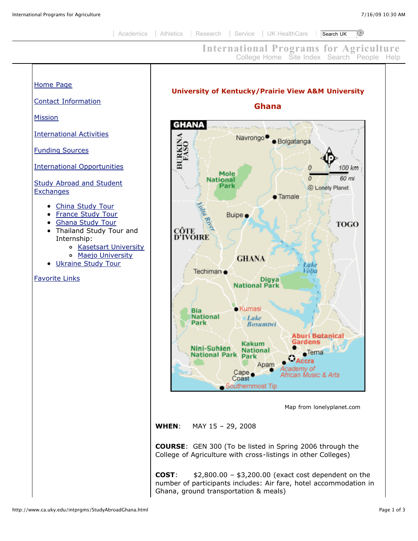## **International Programs for Agriculture** [College Home](http://www.ca.uky.edu/) [Site Index](http://www.ca.uky.edu/coahome/siteindex.htm) [Search](http://www.ca.uky.edu/search/) [People](http://warehouse.ca.uky.edu/coahome/addrbook/people.asp) [Help](http://www.ca.uky.edu/coahome/help.htm)

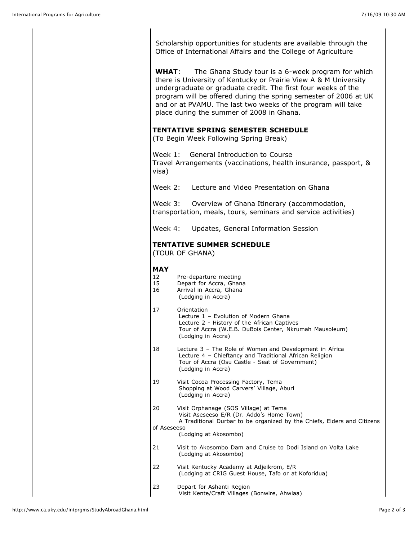Scholarship opportunities for students are available through the Office of International Affairs and the College of Agriculture

**WHAT**: The Ghana Study tour is a 6-week program for which there is University of Kentucky or Prairie View A & M University undergraduate or graduate credit. The first four weeks of the program will be offered during the spring semester of 2006 at UK and or at PVAMU. The last two weeks of the program will take place during the summer of 2008 in Ghana.

## **TENTATIVE SPRING SEMESTER SCHEDULE**

(To Begin Week Following Spring Break)

Week 1: General Introduction to Course Travel Arrangements (vaccinations, health insurance, passport, & visa)

Week 2: Lecture and Video Presentation on Ghana

Week 3: Overview of Ghana Itinerary (accommodation, transportation, meals, tours, seminars and service activities)

Week 4: Updates, General Information Session

## **TENTATIVE SUMMER SCHEDULE**

(TOUR OF GHANA)

## **MAY**

- 12 Pre-departure meeting<br>15 Depart for Accra, Ghan
- Depart for Accra, Ghana
- 16 Arrival in Accra, Ghana (Lodging in Accra)

| 17                | Orientation<br>Lecture 1 - Evolution of Modern Ghana<br>Lecture 2 - History of the African Captives<br>Tour of Accra (W.E.B. DuBois Center, Nkrumah Mausoleum)<br>(Lodging in Accra)        |
|-------------------|---------------------------------------------------------------------------------------------------------------------------------------------------------------------------------------------|
| 18                | Lecture 3 – The Role of Women and Development in Africa<br>Lecture 4 - Chieftancy and Traditional African Religion<br>Tour of Accra (Osu Castle - Seat of Government)<br>(Lodging in Accra) |
| 19                | Visit Cocoa Processing Factory, Tema<br>Shopping at Wood Carvers' Village, Aburi<br>(Lodging in Accra)                                                                                      |
| 20<br>of Aseseeso | Visit Orphanage (SOS Village) at Tema<br>Visit Aseseeso E/R (Dr. Addo's Home Town)<br>A Traditional Durbar to be organized by the Chiefs, Elders and Citizens<br>(Lodging at Akosombo)      |
| 21                | Visit to Akosombo Dam and Cruise to Dodi Island on Volta Lake<br>(Lodging at Akosombo)                                                                                                      |
| 22                | Visit Kentucky Academy at Adjeikrom, E/R<br>(Lodging at CRIG Guest House, Tafo or at Koforidua)                                                                                             |
| 23                | Depart for Ashanti Region                                                                                                                                                                   |

Visit Kente/Craft Villages (Bonwire, Ahwiaa)